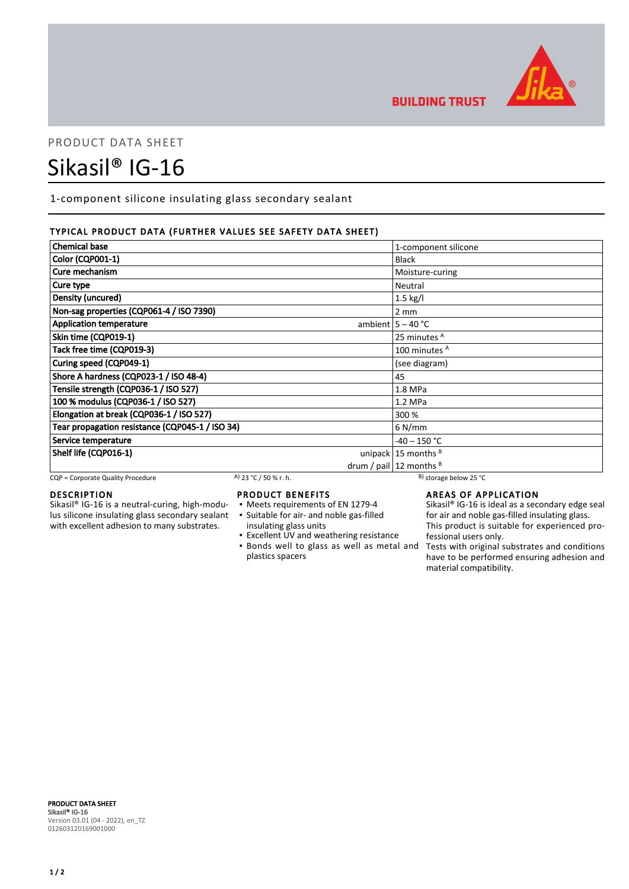

**BUILDING TRUST** 

# PRODUCT DATA SHEET

# Sikasil® IG-16

1-component silicone insulating glass secondary sealant

# TYPICAL PRODUCT DATA (FURTHER VALUES SEE SAFETY DATA SHEET)

| <b>Chemical base</b>                            | 1-component silicone           |
|-------------------------------------------------|--------------------------------|
| Color (CQP001-1)                                | <b>Black</b>                   |
| Cure mechanism                                  | Moisture-curing                |
| Cure type                                       | Neutral                        |
| Density (uncured)                               | $1.5$ kg/l                     |
| Non-sag properties (CQP061-4 / ISO 7390)        | $2 \, \text{mm}$               |
| <b>Application temperature</b>                  | ambient $5 - 40$ °C            |
| Skin time (CQP019-1)                            | 25 minutes <sup>A</sup>        |
| Tack free time (CQP019-3)                       | 100 minutes <sup>A</sup>       |
| Curing speed (CQP049-1)                         | (see diagram)                  |
| Shore A hardness (CQP023-1 / ISO 48-4)          | 45                             |
| Tensile strength (CQP036-1 / ISO 527)           | 1.8 MPa                        |
| 100 % modulus (CQP036-1 / ISO 527)              | $1.2$ MPa                      |
| Elongation at break (CQP036-1 / ISO 527)        | 300 %                          |
| Tear propagation resistance (CQP045-1 / ISO 34) | $6$ N/mm                       |
| Service temperature                             | $-40 - 150$ °C                 |
| Shelf life (CQP016-1)                           | unipack $15$ months $^B$       |
|                                                 | drum / pail $ 12$ months $ B $ |

CQP = Corporate Quality Procedure A) 23 °C / 50 % r. h. B) storage below 25 °C

# DESCRIPTION

Sikasil® IG-16 is a neutral-curing, high-modulus silicone insulating glass secondary sealant with excellent adhesion to many substrates.

# PRODUCT BENEFITS

- Meets requirements of EN 1279-4
- Suitable for air- and noble gas-filled ▪
- insulating glass units
- Excellent UV and weathering resistance **.** Bonds well to glass as well as metal and
- plastics spacers

AREAS OF APPLICATION

Sikasil<sup>®</sup> IG-16 is ideal as a secondary edge seal for air and noble gas-filled insulating glass. This product is suitable for experienced professional users only.

Tests with original substrates and conditions have to be performed ensuring adhesion and material compatibility.